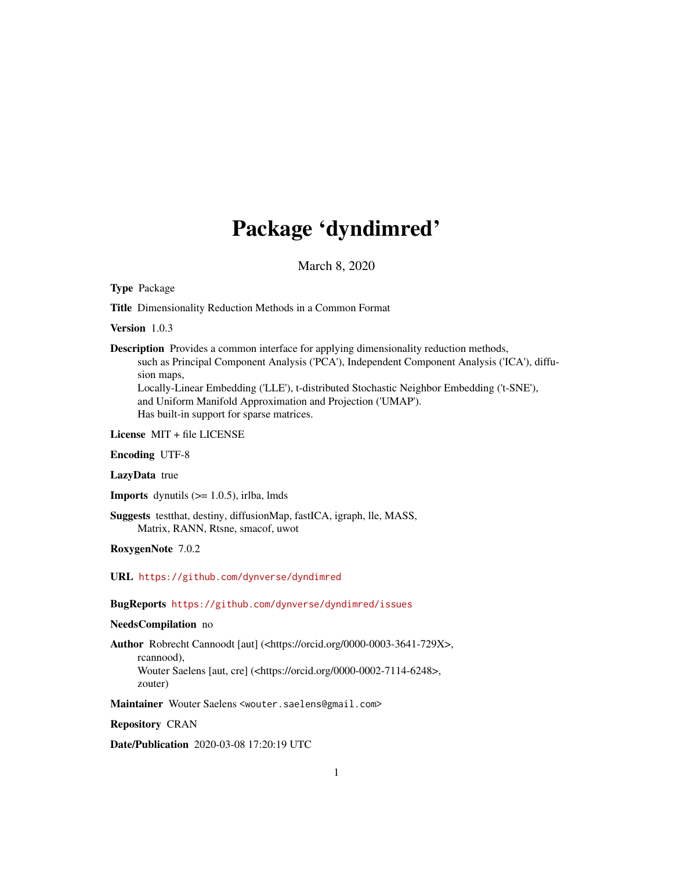## Package 'dyndimred'

March 8, 2020

<span id="page-0-0"></span>Type Package

Title Dimensionality Reduction Methods in a Common Format

Version 1.0.3

Description Provides a common interface for applying dimensionality reduction methods, such as Principal Component Analysis ('PCA'), Independent Component Analysis ('ICA'), diffusion maps, Locally-Linear Embedding ('LLE'), t-distributed Stochastic Neighbor Embedding ('t-SNE'), and Uniform Manifold Approximation and Projection ('UMAP').

Has built-in support for sparse matrices.

License MIT + file LICENSE

Encoding UTF-8

LazyData true

**Imports** dynutils  $(>= 1.0.5)$ , irlba, lmds

Suggests testthat, destiny, diffusionMap, fastICA, igraph, lle, MASS, Matrix, RANN, Rtsne, smacof, uwot

RoxygenNote 7.0.2

URL <https://github.com/dynverse/dyndimred>

BugReports <https://github.com/dynverse/dyndimred/issues>

NeedsCompilation no

Author Robrecht Cannoodt [aut] (<https://orcid.org/0000-0003-3641-729X>, rcannood), Wouter Saelens [aut, cre] (<https://orcid.org/0000-0002-7114-6248>, zouter)

Maintainer Wouter Saelens <wouter.saelens@gmail.com>

Repository CRAN

Date/Publication 2020-03-08 17:20:19 UTC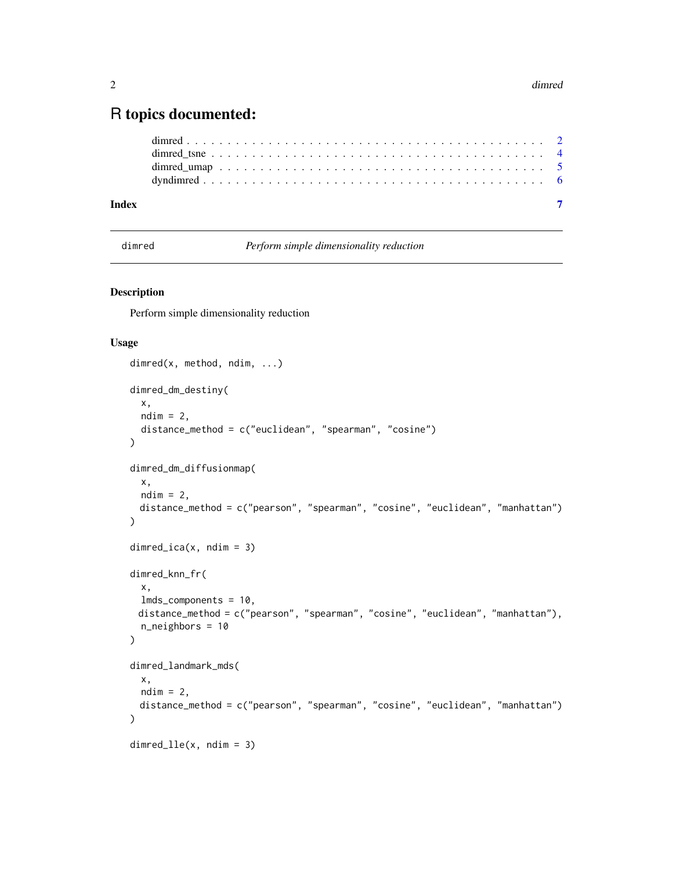### <span id="page-1-0"></span>R topics documented:

| Index |  |  |  |  |  |  |  |  |  |  |  |  |  |  |  |  |  |  |  |
|-------|--|--|--|--|--|--|--|--|--|--|--|--|--|--|--|--|--|--|--|

dimred *Perform simple dimensionality reduction*

#### Description

Perform simple dimensionality reduction

#### Usage

```
dimred(x, method, ndim, ...)
dimred_dm_destiny(
 x,
 ndim = 2,distance_method = c("euclidean", "spearman", "cosine")
)
dimred_dm_diffusionmap(
 x,
 ndim = 2,distance_method = c("pearson", "spearman", "cosine", "euclidean", "manhattan")
\mathcal{E}dimred\_ica(x, ndim = 3)dimred_knn_fr(
 x,
 lmds_components = 10,
 distance_method = c("pearson", "spearman", "cosine", "euclidean", "manhattan"),
 n_neighbors = 10
)
dimred_landmark_mds(
 x,
 ndim = 2,
 distance_method = c("pearson", "spearman", "cosine", "euclidean", "manhattan")
)
dimred_lle(x, ndim = 3)
```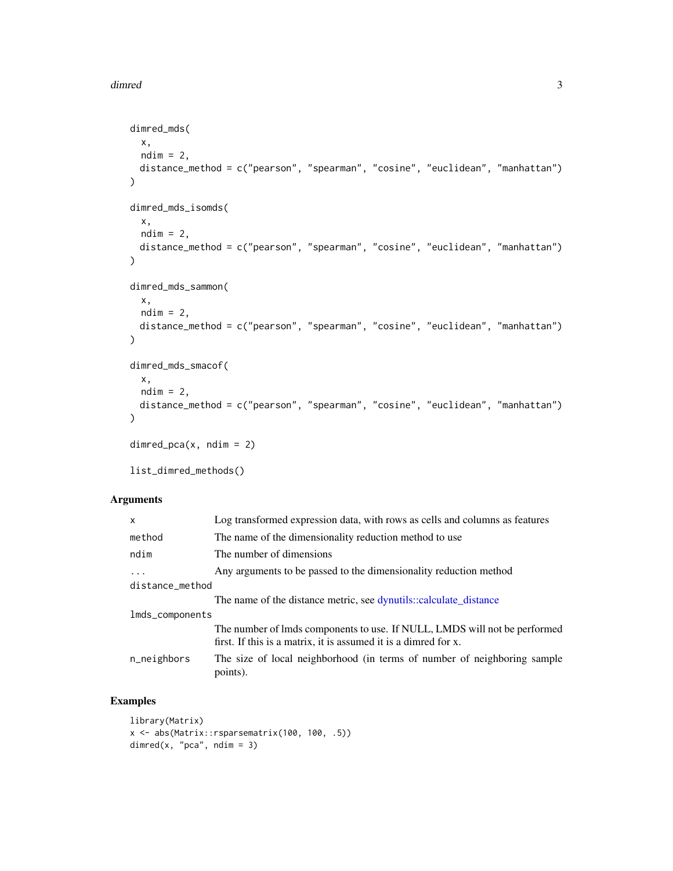#### <span id="page-2-0"></span>dimred 3

```
dimred_mds(
 x,
 ndim = 2,
 distance_method = c("pearson", "spearman", "cosine", "euclidean", "manhattan")
\mathcal{E}dimred_mds_isomds(
 x,
 ndim = 2,distance_method = c("pearson", "spearman", "cosine", "euclidean", "manhattan")
\mathcal{E}dimred_mds_sammon(
 x,
 ndim = 2,
 distance_method = c("pearson", "spearman", "cosine", "euclidean", "manhattan")
\mathcal{L}dimred_mds_smacof(
 x,
 ndim = 2,distance_method = c("pearson", "spearman", "cosine", "euclidean", "manhattan")
)
dimred_pca(x, ndim = 2)
```
list\_dimred\_methods()

#### Arguments

| $\mathsf{x}$    | Log transformed expression data, with rows as cells and columns as features                                                                  |
|-----------------|----------------------------------------------------------------------------------------------------------------------------------------------|
| method          | The name of the dimensionality reduction method to use                                                                                       |
| ndim            | The number of dimensions                                                                                                                     |
|                 | Any arguments to be passed to the dimensionality reduction method                                                                            |
| distance_method |                                                                                                                                              |
|                 | The name of the distance metric, see dynutils::calculate_distance                                                                            |
| lmds_components |                                                                                                                                              |
|                 | The number of lmds components to use. If NULL, LMDS will not be performed<br>first. If this is a matrix, it is assumed it is a dimred for x. |
| n_neighbors     | The size of local neighborhood (in terms of number of neighboring sample<br>points).                                                         |

#### Examples

```
library(Matrix)
x <- abs(Matrix::rsparsematrix(100, 100, .5))
dimred(x, "pca", ndim = 3)
```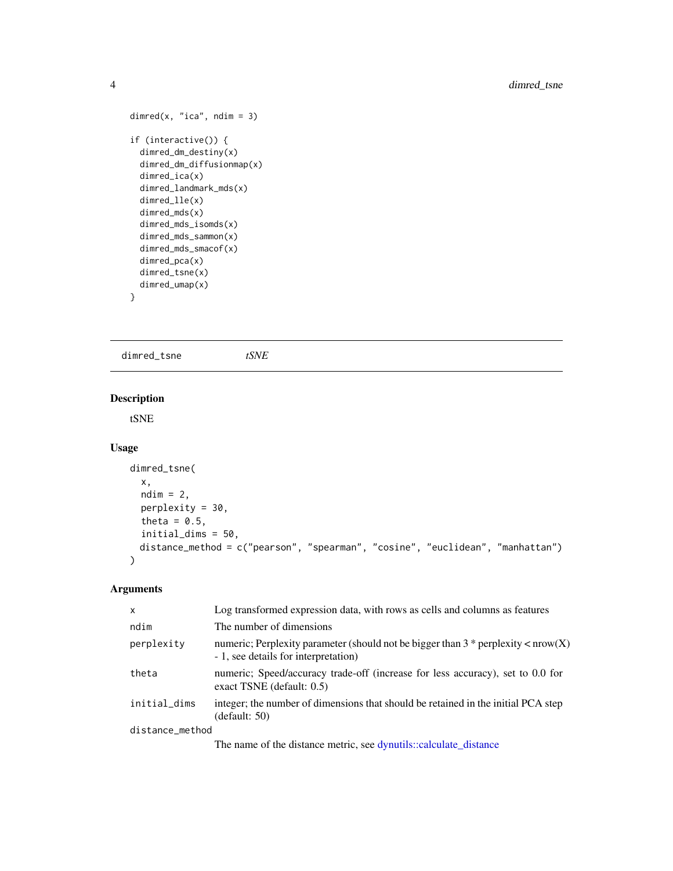```
dimred(x, "ica", ndim = 3)
if (interactive()) {
  dimred_dm_destiny(x)
  dimred_dm_diffusionmap(x)
  dimred_ica(x)
  dimred_landmark_mds(x)
  dimred_lle(x)
  dimred_mds(x)
  dimred_mds_isomds(x)
  dimred_mds_sammon(x)
  dimred_mds_smacof(x)
  dimred_pca(x)
  dimred_tsne(x)
  dimred_umap(x)
}
```
dimred\_tsne *tSNE*

#### Description

tSNE

#### Usage

```
dimred_tsne(
  x,
 ndim = 2,
 perplexity = 30,
  theta = 0.5,
  initial_dims = 50,
 distance_method = c("pearson", "spearman", "cosine", "euclidean", "manhattan")
\mathcal{L}
```
#### Arguments

| X               | Log transformed expression data, with rows as cells and columns as features                                                 |
|-----------------|-----------------------------------------------------------------------------------------------------------------------------|
| ndim            | The number of dimensions                                                                                                    |
| perplexity      | numeric; Perplexity parameter (should not be bigger than $3 *$ perplexity < nrow(X)<br>- 1, see details for interpretation) |
| theta           | numeric; Speed/accuracy trade-off (increase for less accuracy), set to 0.0 for<br>exact TSNE (default: $0.5$ )              |
| initial_dims    | integer; the number of dimensions that should be retained in the initial PCA step<br>(default: 50)                          |
| distance_method |                                                                                                                             |
|                 | The name of the distance metric, see dynutils::calculate_distance                                                           |

<span id="page-3-0"></span>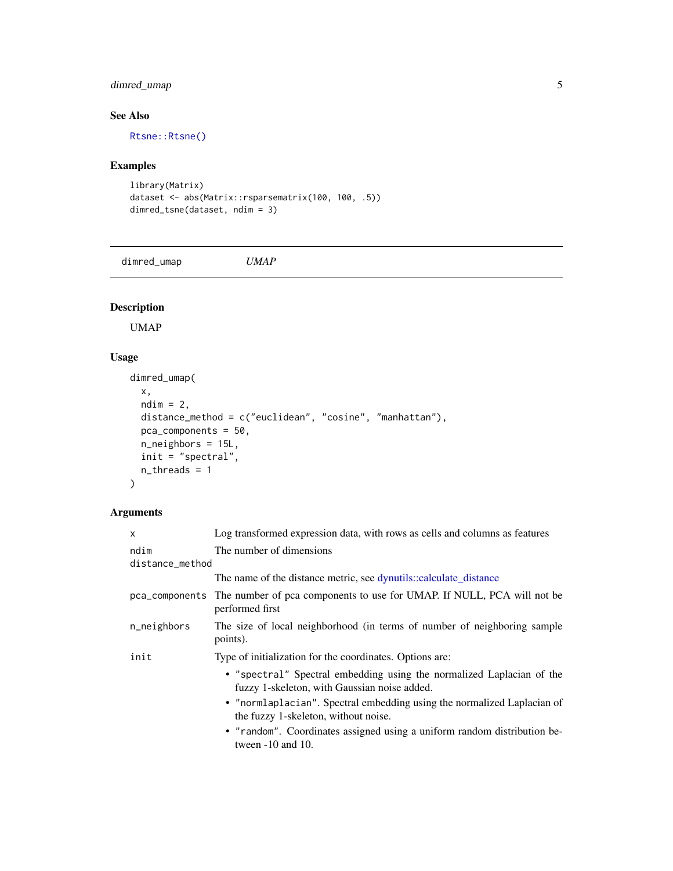#### <span id="page-4-0"></span>dimred\_umap 5

#### See Also

[Rtsne::Rtsne\(\)](#page-0-0)

#### Examples

```
library(Matrix)
dataset <- abs(Matrix::rsparsematrix(100, 100, .5))
dimred_tsne(dataset, ndim = 3)
```
dimred\_umap *UMAP*

#### Description

UMAP

#### Usage

```
dimred_umap(
 x,
 ndim = 2,distance_method = c("euclidean", "cosine", "manhattan"),
 pca_components = 50,
 n_neighbors = 15L,
 init = "spectral",
 n_threads = 1
)
```
#### Arguments

| Log transformed expression data, with rows as cells and columns as features                                           |
|-----------------------------------------------------------------------------------------------------------------------|
| The number of dimensions<br>distance_method                                                                           |
| The name of the distance metric, see dynutils::calculate_distance                                                     |
| pca_components The number of pca components to use for UMAP. If NULL, PCA will not be<br>performed first              |
| The size of local neighborhood (in terms of number of neighboring sample<br>points).                                  |
| Type of initialization for the coordinates. Options are:                                                              |
| • "spectral" Spectral embedding using the normalized Laplacian of the<br>fuzzy 1-skeleton, with Gaussian noise added. |
| • "normlaplacian". Spectral embedding using the normalized Laplacian of<br>the fuzzy 1-skeleton, without noise.       |
| • "random". Coordinates assigned using a uniform random distribution be-<br>tween $-10$ and 10.                       |
|                                                                                                                       |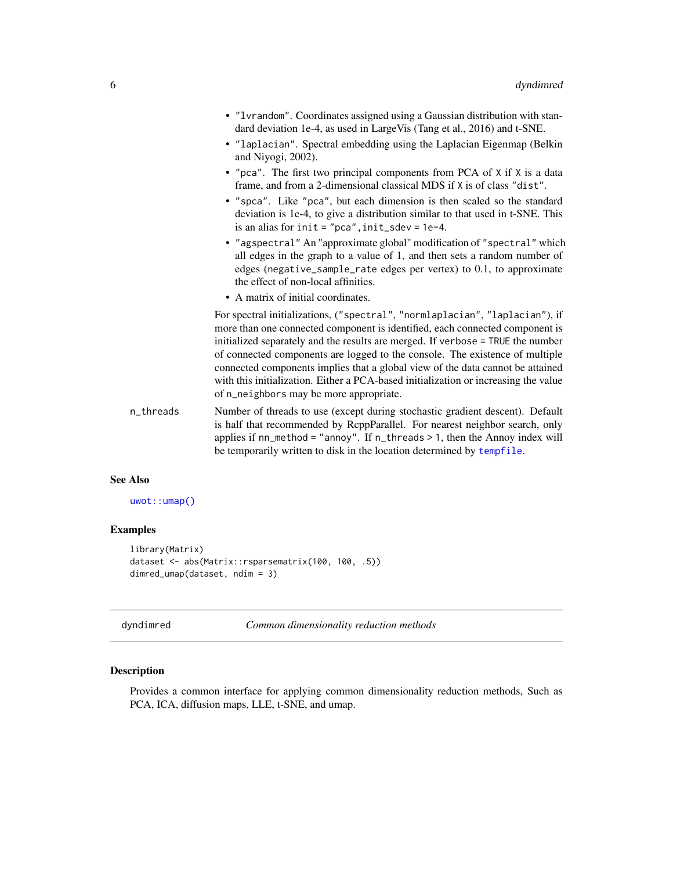<span id="page-5-0"></span>

|           | • "1vrandom". Coordinates assigned using a Gaussian distribution with stan-<br>dard deviation 1e-4, as used in LargeVis (Tang et al., 2016) and t-SNE.<br>• "laplacian". Spectral embedding using the Laplacian Eigenmap (Belkin<br>and Niyogi, 2002).<br>• "pca". The first two principal components from PCA of X if X is a data<br>frame, and from a 2-dimensional classical MDS if X is of class "dist".<br>• "spca". Like "pca", but each dimension is then scaled so the standard<br>deviation is 1e-4, to give a distribution similar to that used in t-SNE. This<br>is an alias for $init = "pca", init_sdev = 1e-4.$<br>• "agspectral" An "approximate global" modification of "spectral" which<br>all edges in the graph to a value of 1, and then sets a random number of<br>edges (negative_sample_rate edges per vertex) to 0.1, to approximate<br>the effect of non-local affinities. |
|-----------|-----------------------------------------------------------------------------------------------------------------------------------------------------------------------------------------------------------------------------------------------------------------------------------------------------------------------------------------------------------------------------------------------------------------------------------------------------------------------------------------------------------------------------------------------------------------------------------------------------------------------------------------------------------------------------------------------------------------------------------------------------------------------------------------------------------------------------------------------------------------------------------------------------|
|           | • A matrix of initial coordinates.                                                                                                                                                                                                                                                                                                                                                                                                                                                                                                                                                                                                                                                                                                                                                                                                                                                                  |
|           | For spectral initializations, ("spectral", "normlaplacian", "laplacian"), if<br>more than one connected component is identified, each connected component is<br>initialized separately and the results are merged. If verbose = TRUE the number<br>of connected components are logged to the console. The existence of multiple<br>connected components implies that a global view of the data cannot be attained<br>with this initialization. Either a PCA-based initialization or increasing the value<br>of n_neighbors may be more appropriate.                                                                                                                                                                                                                                                                                                                                                 |
| n_threads | Number of threads to use (except during stochastic gradient descent). Default<br>is half that recommended by RcppParallel. For nearest neighbor search, only<br>applies if $nn_method = "annoy".$ If $n_threads > 1$ , then the Annoy index will<br>be temporarily written to disk in the location determined by tempfile.                                                                                                                                                                                                                                                                                                                                                                                                                                                                                                                                                                          |

#### See Also

[uwot::umap\(\)](#page-0-0)

### Examples

```
library(Matrix)
dataset <- abs(Matrix::rsparsematrix(100, 100, .5))
dimred_umap(dataset, ndim = 3)
```
dyndimred *Common dimensionality reduction methods*

#### Description

Provides a common interface for applying common dimensionality reduction methods, Such as PCA, ICA, diffusion maps, LLE, t-SNE, and umap.